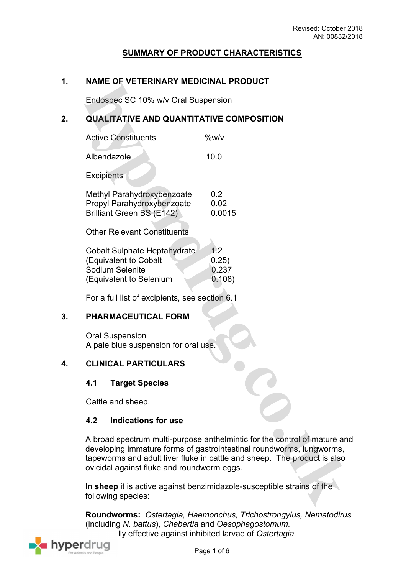# **SUMMARY OF PRODUCT CHARACTERISTICS**

#### **1. NAME OF VETERINARY MEDICINAL PRODUCT**

Endospec SC 10% w/v Oral Suspension

# **2. QUALITATIVE AND QUANTITATIVE COMPOSITION**

| <b>Active Constituents</b> | %w/v |
|----------------------------|------|
| Albendazole                | 10 O |

**Excipients** 

| Methyl Parahydroxybenzoate | 0.2    |
|----------------------------|--------|
| Propyl Parahydroxybenzoate | 0.02   |
| Brilliant Green BS (E142)  | 0.0015 |

Other Relevant Constituents

| Cobalt Sulphate Heptahydrate | 1.2    |
|------------------------------|--------|
| (Equivalent to Cobalt        | (0.25) |
| Sodium Selenite              | 0.237  |
| (Equivalent to Selenium      | 0.108) |
|                              |        |

For a full list of excipients, see section 6.1

### **3. PHARMACEUTICAL FORM**

Oral Suspension A pale blue suspension for oral use.

### **4. CLINICAL PARTICULARS**

#### **4.1 Target Species**

Cattle and sheep.

#### **4.2 Indications for use**

A broad spectrum multi-purpose anthelmintic for the control of mature and developing immature forms of gastrointestinal roundworms, lungworms, tapeworms and adult liver fluke in cattle and sheep. The product is also ovicidal against fluke and roundworm eggs.

In **sheep** it is active against benzimidazole-susceptible strains of the following species:

**Roundworms:** *Ostertagia, Haemonchus, Trichostrongylus, Nematodirus*  (including *N. battus*), *Chabertia* and *Oesophagostomum.* Ily effective against inhibited larvae of Ostertagia.

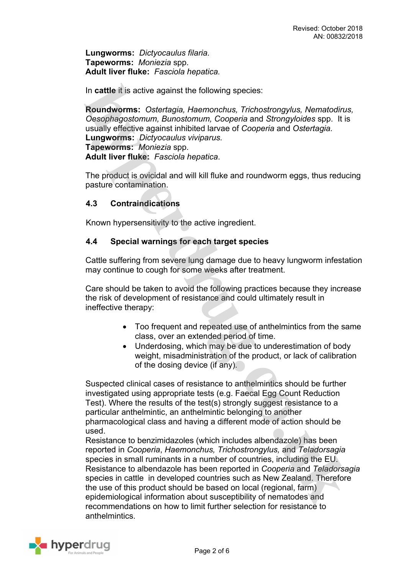**Lungworms:** *Dictyocaulus filaria.* **Tapeworms:** *Moniezia* spp. **Adult liver fluke:** *Fasciola hepatica.*

In **cattle** it is active against the following species:

**Roundworms:** *Ostertagia, Haemonchus, Trichostrongylus, Nematodirus, Oesophagostomum, Bunostomum, Cooperia* and *Strongyloides* spp. It is usually effective against inhibited larvae of *Cooperia* and *Ostertagia.* **Lungworms:** *Dictyocaulus viviparus.* **Tapeworms:** *Moniezia* spp. **Adult liver fluke:** *Fasciola hepatica*.

The product is ovicidal and will kill fluke and roundworm eggs, thus reducing pasture contamination.

### **4.3 Contraindications**

Known hypersensitivity to the active ingredient.

#### **4.4 Special warnings for each target species**

Cattle suffering from severe lung damage due to heavy lungworm infestation may continue to cough for some weeks after treatment.

Care should be taken to avoid the following practices because they increase the risk of development of resistance and could ultimately result in ineffective therapy:

- Too frequent and repeated use of anthelmintics from the same class, over an extended period of time.
- Underdosing, which may be due to underestimation of body weight, misadministration of the product, or lack of calibration of the dosing device (if any).

Suspected clinical cases of resistance to anthelmintics should be further investigated using appropriate tests (e.g. Faecal Egg Count Reduction Test). Where the results of the test(s) strongly suggest resistance to a particular anthelmintic, an anthelmintic belonging to another pharmacological class and having a different mode of action should be used.

Resistance to benzimidazoles (which includes albendazole) has been reported in *Cooperia*, *Haemonchus, Trichostrongylus,* and *Teladorsagia* species in small ruminants in a number of countries, including the EU. Resistance to albendazole has been reported in *Cooperia* and *Teladorsagia* species in cattle in developed countries such as New Zealand. Therefore the use of this product should be based on local (regional, farm) epidemiological information about susceptibility of nematodes and recommendations on how to limit further selection for resistance to anthelmintics.

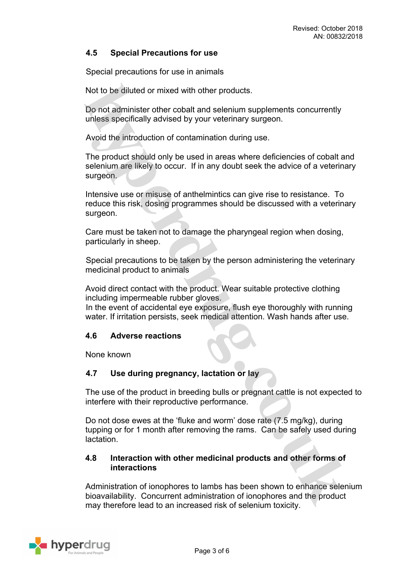## **4.5 Special Precautions for use**

Special precautions for use in animals

Not to be diluted or mixed with other products.

Do not administer other cobalt and selenium supplements concurrently unless specifically advised by your veterinary surgeon.

Avoid the introduction of contamination during use.

The product should only be used in areas where deficiencies of cobalt and selenium are likely to occur. If in any doubt seek the advice of a veterinary surgeon.

Intensive use or misuse of anthelmintics can give rise to resistance. To reduce this risk, dosing programmes should be discussed with a veterinary surgeon.

Care must be taken not to damage the pharyngeal region when dosing, particularly in sheep.

Special precautions to be taken by the person administering the veterinary medicinal product to animals

Avoid direct contact with the product. Wear suitable protective clothing including impermeable rubber gloves.

In the event of accidental eye exposure, flush eye thoroughly with running water. If irritation persists, seek medical attention. Wash hands after use.

### **4.6 Adverse reactions**

None known

### **4.7 Use during pregnancy, lactation or lay**

The use of the product in breeding bulls or pregnant cattle is not expected to interfere with their reproductive performance.

Do not dose ewes at the 'fluke and worm' dose rate (7.5 mg/kg), during tupping or for 1 month after removing the rams. Can be safely used during lactation.

### **4.8 Interaction with other medicinal products and other forms of interactions**

Administration of ionophores to lambs has been shown to enhance selenium bioavailability. Concurrent administration of ionophores and the product may therefore lead to an increased risk of selenium toxicity.

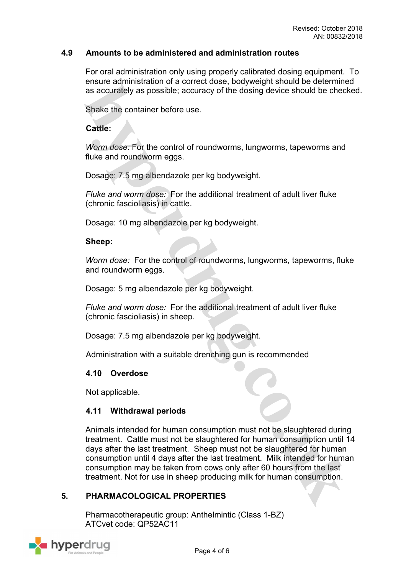### **4.9 Amounts to be administered and administration routes**

For oral administration only using properly calibrated dosing equipment. To ensure administration of a correct dose, bodyweight should be determined as accurately as possible; accuracy of the dosing device should be checked.

Shake the container before use.

### **Cattle:**

*Worm dose:* For the control of roundworms, lungworms, tapeworms and fluke and roundworm eggs.

Dosage: 7.5 mg albendazole per kg bodyweight.

*Fluke and worm dose:* For the additional treatment of adult liver fluke (chronic fascioliasis) in cattle.

Dosage: 10 mg albendazole per kg bodyweight.

#### **Sheep:**

*Worm dose:* For the control of roundworms, lungworms, tapeworms, fluke and roundworm eggs.

Dosage: 5 mg albendazole per kg bodyweight.

*Fluke and worm dose:* For the additional treatment of adult liver fluke (chronic fascioliasis) in sheep.

Dosage: 7.5 mg albendazole per kg bodyweight.

Administration with a suitable drenching gun is recommended

### **4.10 Overdose**

Not applicable.

### **4.11 Withdrawal periods**

Animals intended for human consumption must not be slaughtered during treatment. Cattle must not be slaughtered for human consumption until 14 days after the last treatment. Sheep must not be slaughtered for human consumption until 4 days after the last treatment. Milk intended for human consumption may be taken from cows only after 60 hours from the last treatment. Not for use in sheep producing milk for human consumption.

### **5. PHARMACOLOGICAL PROPERTIES**

Pharmacotherapeutic group: Anthelmintic (Class 1-BZ) ATCvet code: QP52AC11

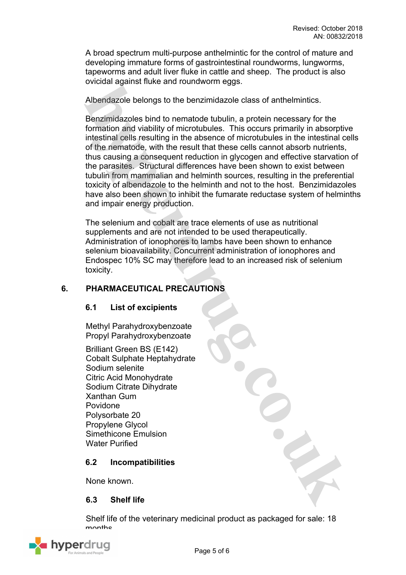A broad spectrum multi-purpose anthelmintic for the control of mature and developing immature forms of gastrointestinal roundworms, lungworms, tapeworms and adult liver fluke in cattle and sheep. The product is also ovicidal against fluke and roundworm eggs.

Albendazole belongs to the benzimidazole class of anthelmintics.

Benzimidazoles bind to nematode tubulin, a protein necessary for the formation and viability of microtubules. This occurs primarily in absorptive intestinal cells resulting in the absence of microtubules in the intestinal cells of the nematode, with the result that these cells cannot absorb nutrients, thus causing a consequent reduction in glycogen and effective starvation of the parasites. Structural differences have been shown to exist between tubulin from mammalian and helminth sources, resulting in the preferential toxicity of albendazole to the helminth and not to the host. Benzimidazoles have also been shown to inhibit the fumarate reductase system of helminths and impair energy production.

The selenium and cobalt are trace elements of use as nutritional supplements and are not intended to be used therapeutically. Administration of ionophores to lambs have been shown to enhance selenium bioavailability. Concurrent administration of ionophores and Endospec 10% SC may therefore lead to an increased risk of selenium toxicity.

# **6. PHARMACEUTICAL PRECAUTIONS**

### **6.1 List of excipients**

Methyl Parahydroxybenzoate Propyl Parahydroxybenzoate

Brilliant Green BS (E142) Cobalt Sulphate Heptahydrate Sodium selenite Citric Acid Monohydrate Sodium Citrate Dihydrate Xanthan Gum Povidone Polysorbate 20 Propylene Glycol Simethicone Emulsion Water Purified

### **6.2 Incompatibilities**

None known.

### **6.3 Shelf life**

Shelf life of the veterinary medicinal product as packaged for sale: 18 monthe